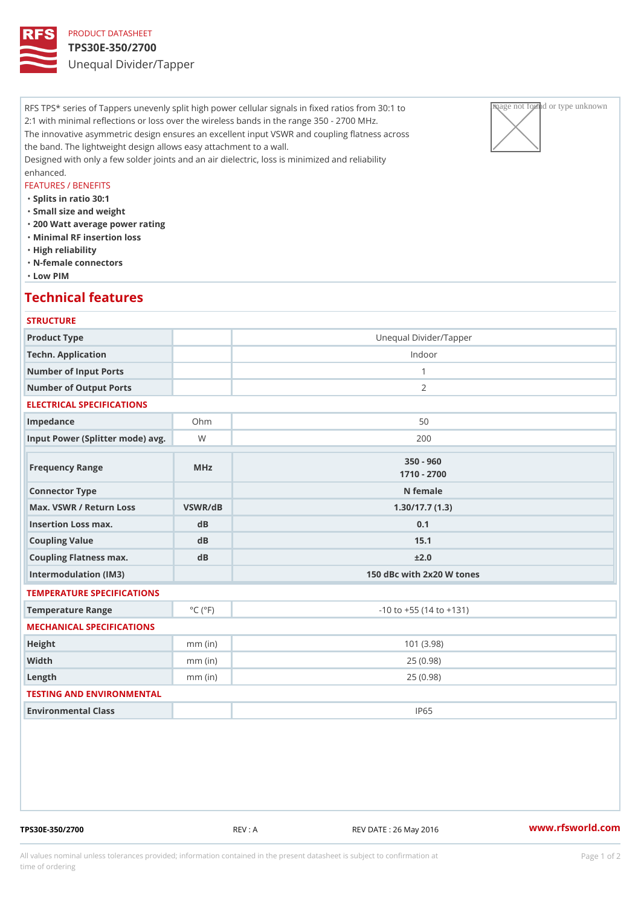## PRODUCT DATASHEET TPS30E-350/2700 Unequal Divider/Tapper

RFS TPS\* series of Tappers unevenly split high power cellular signals in fixeage pathaged privar unknown to 2:1 with minimal reflections or loss over the wireless bands in the range  $350 \times 2700$  MHz. The innovative asymmetric design ensures an excellent input VSWR and coupling flatness across the band. The lightweight design allows easy attachment to a wall. Designed with only a few solder joints and an air dielectric, loss is minimized and reliability enhanced.

### FEATURES / BENEFITS

"Splits in ratio 30:1

- "Small size and weight
- "200 Watt average power rating
- "Minimal RF insertion loss
- "High reliability
- "N-female connectors
- "Low PIM

## Technical features

| <b>STRUCTURE</b>                                 |                             |                                |
|--------------------------------------------------|-----------------------------|--------------------------------|
| Product Type                                     |                             | Unequal Divider/Tapper         |
| Techn. Application                               |                             | Indoor                         |
| Number of Input Ports                            |                             | $\mathbf{1}$                   |
| Number of Output Ports                           |                             | 2                              |
| ELECTRICAL SPECIFICATIONS                        |                             |                                |
| Impedance                                        | $Oh$ m                      | 50                             |
| Input Power (Splitter mode) Wavg.                |                             | 200                            |
| Frequency Range                                  | MHz                         | $350 - 960$<br>$1710 - 2700$   |
| Connector Type                                   |                             | N female                       |
| Max. VSWR / Return LossVSWR/dB<br>1.30/17.7(1.3) |                             |                                |
| Insertion Loss max.                              | dB                          | 0.1                            |
| Coupling Value                                   | dB                          | 15.1                           |
| Coupling Flatness max.                           | $d$ B                       | ± 2.0                          |
| Intermodulation (IM3)                            |                             | 150 dBc with 2x20 W tones      |
| TEMPERATURE SPECIFICATIONS                       |                             |                                |
| Temperature Range                                | $^{\circ}$ C ( $^{\circ}$ F | $-10$ to $+55$ (14 to $+131$ ) |
| MECHANICAL SPECIFICATIONS                        |                             |                                |
| Height                                           | $mm$ (in)                   | 101(3.98)                      |
| Width                                            | $mm$ (in)                   | 25(0.98)                       |
| $L$ ength                                        | $mm$ (in)                   | 25(0.98)                       |
| TESTING AND ENVIRONMENTAL                        |                             |                                |
| Environmental Class                              |                             | IP65                           |
|                                                  |                             |                                |

TPS30E-350/2700 REV : A REV DATE : 26 May 2016 [www.](https://www.rfsworld.com)rfsworld.com

All values nominal unless tolerances provided; information contained in the present datasheet is subject to Pcapgeign manation time of ordering